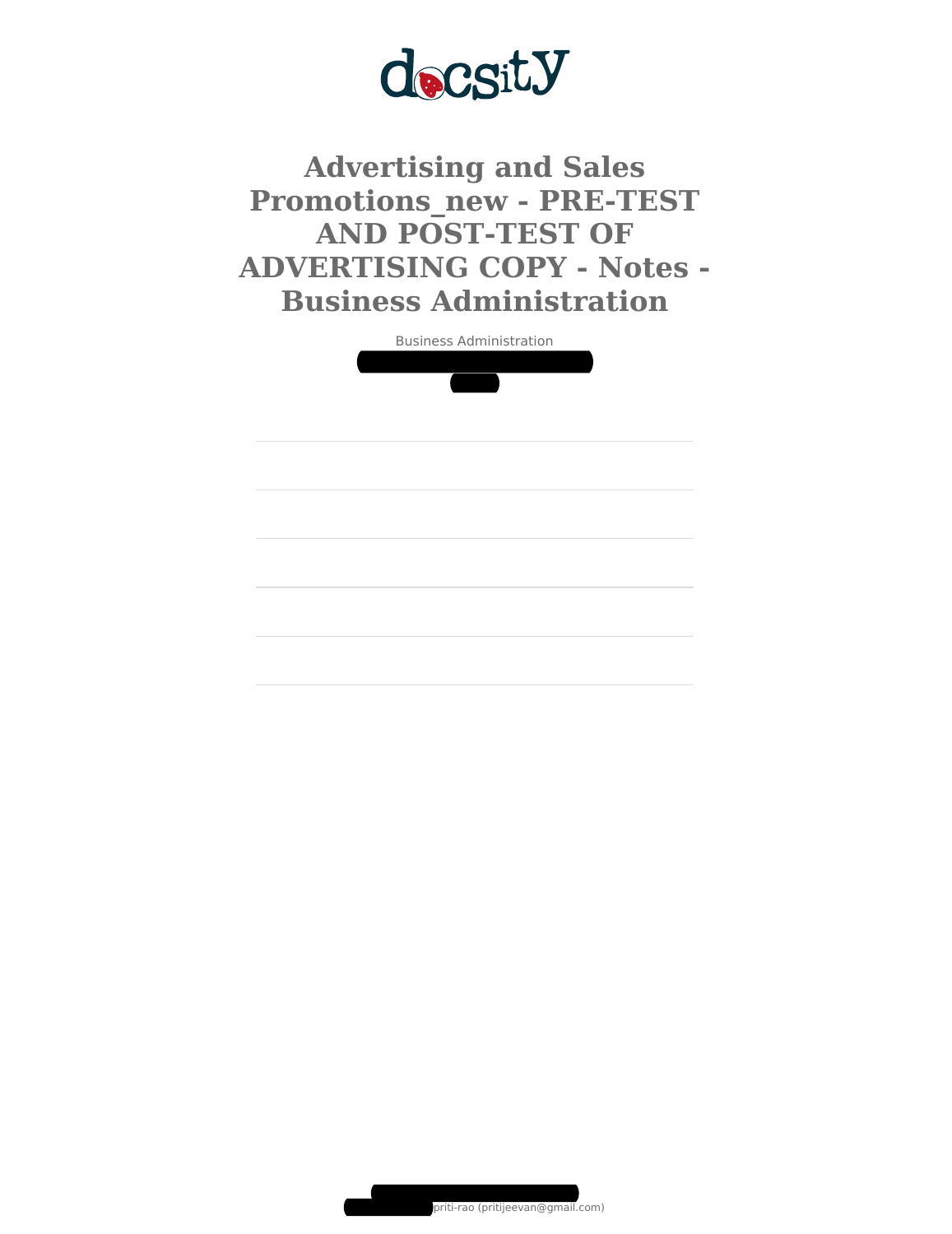

**Advertising and Sales Promotions\_new - PRE-TEST AND POST-TEST OF ADVERTISING COPY - Notes - Business Administration**



Document shared on [www.docsity.com](https://www.docsity.com/?utm_source=docsity&utm_medium=document&utm_campaign=watermark)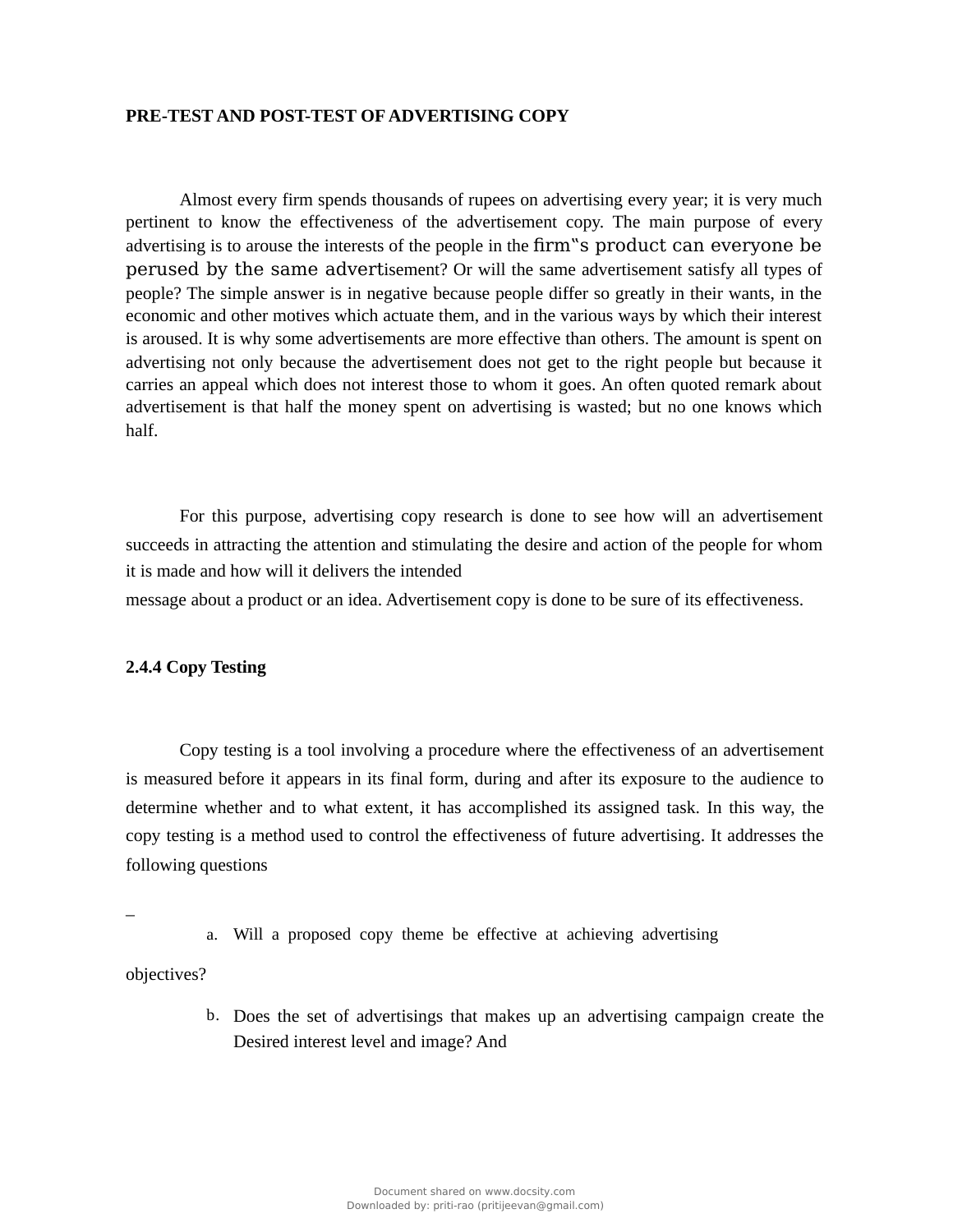### **PRE-TEST AND POST-TEST OF ADVERTISING COPY**

Almost every firm spends thousands of rupees on advertising every year; it is very much pertinent to know the effectiveness of the advertisement copy. The main purpose of every advertising is to arouse the interests of the people in the firm"s product can everyone be perused by the same advertisement? Or will the same advertisement satisfy all types of people? The simple answer is in negative because people differ so greatly in their wants, in the economic and other motives which actuate them, and in the various ways by which their interest is aroused. It is why some advertisements are more effective than others. The amount is spent on advertising not only because the advertisement does not get to the right people but because it carries an appeal which does not interest those to whom it goes. An often quoted remark about advertisement is that half the money spent on advertising is wasted; but no one knows which half.

For this purpose, advertising copy research is done to see how will an advertisement succeeds in attracting the attention and stimulating the desire and action of the people for whom it is made and how will it delivers the intended

message about a product or an idea. Advertisement copy is done to be sure of its effectiveness.

# **2.4.4 Copy Testing**

Copy testing is a tool involving a procedure where the effectiveness of an advertisement is measured before it appears in its final form, during and after its exposure to the audience to determine whether and to what extent, it has accomplished its assigned task. In this way, the copy testing is a method used to control the effectiveness of future advertising. It addresses the following questions

a. Will a proposed copy theme be effective at achieving advertising

objectives?

–

b. Does the set of advertisings that makes up an advertising campaign create the Desired interest level and image? And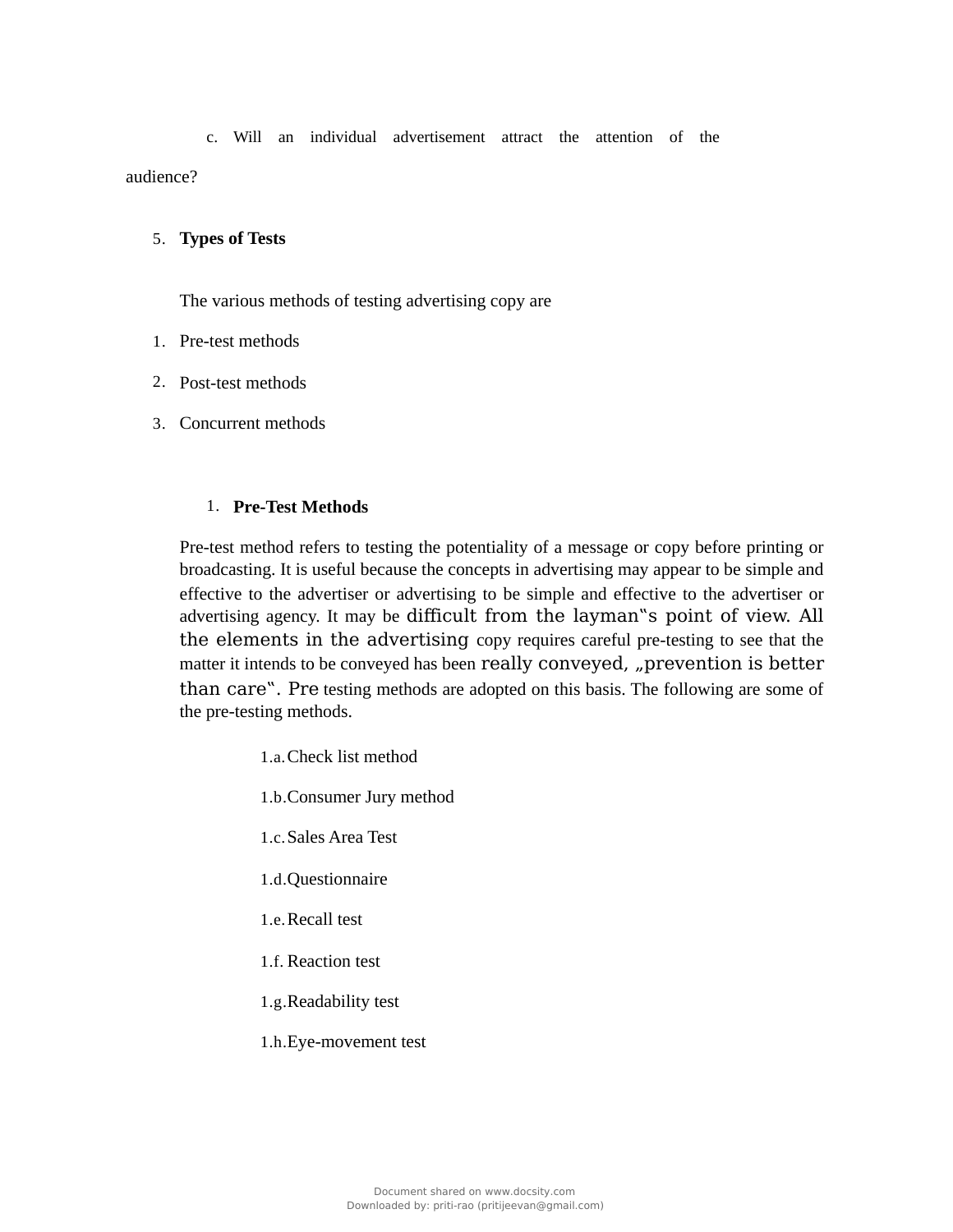c. Will an individual advertisement attract the attention of the audience?

## 5. **Types of Tests**

The various methods of testing advertising copy are

- 1. Pre-test methods
- 2. Post-test methods
- 3. Concurrent methods

## 1. **Pre-Test Methods**

Pre-test method refers to testing the potentiality of a message or copy before printing or broadcasting. It is useful because the concepts in advertising may appear to be simple and effective to the advertiser or advertising to be simple and effective to the advertiser or advertising agency. It may be difficult from the layman"s point of view. All the elements in the advertising copy requires careful pre-testing to see that the matter it intends to be conveyed has been really conveyed, "prevention is better than care". Pre testing methods are adopted on this basis. The following are some of the pre-testing methods.

- 1.a.Check list method
- 1.b.Consumer Jury method
- 1.c.Sales Area Test
- 1.d.Questionnaire
- 1.e.Recall test
- 1.f. Reaction test
- 1.g.Readability test
- 1.h.Eye-movement test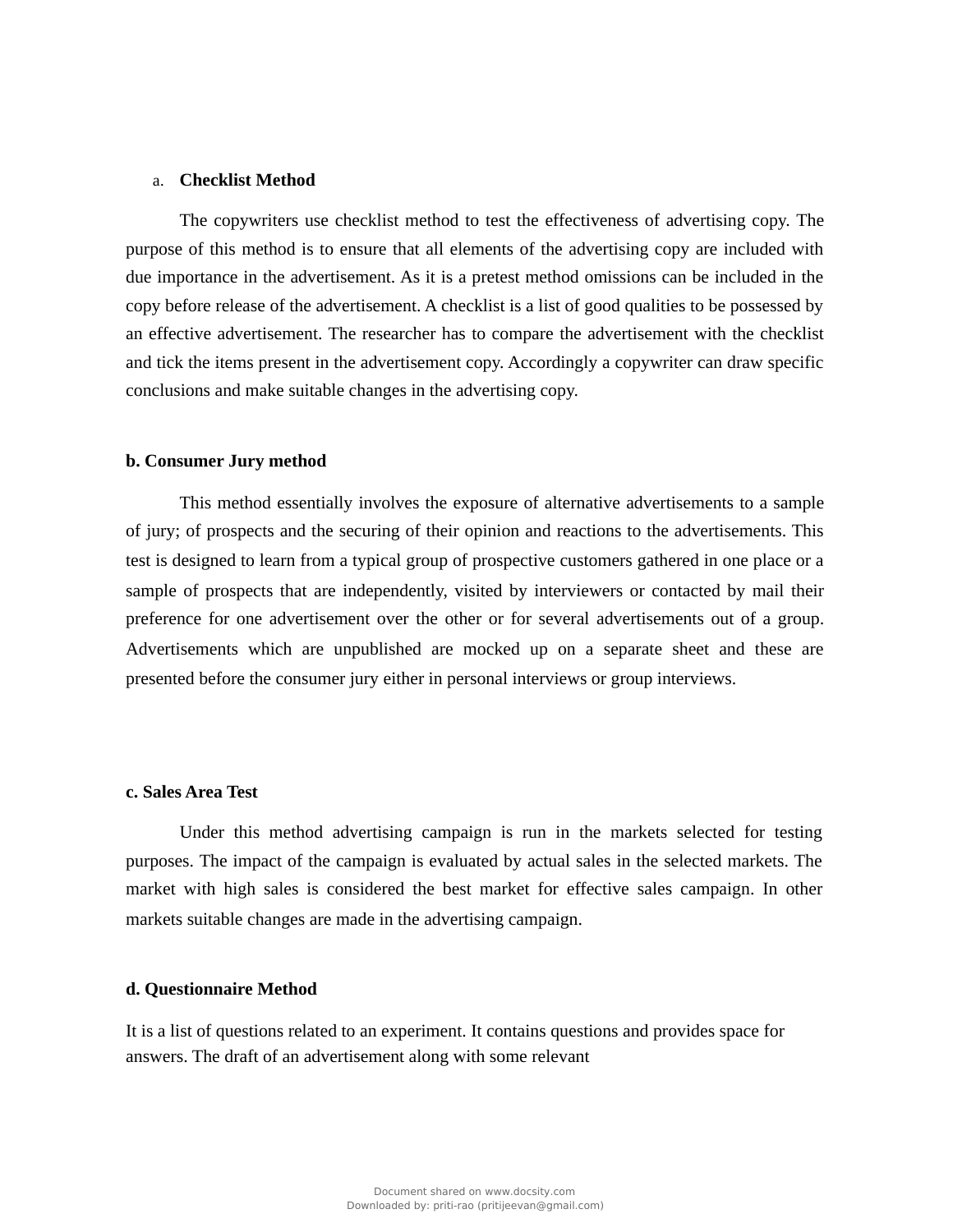## a. **Checklist Method**

The copywriters use checklist method to test the effectiveness of advertising copy. The purpose of this method is to ensure that all elements of the advertising copy are included with due importance in the advertisement. As it is a pretest method omissions can be included in the copy before release of the advertisement. A checklist is a list of good qualities to be possessed by an effective advertisement. The researcher has to compare the advertisement with the checklist and tick the items present in the advertisement copy. Accordingly a copywriter can draw specific conclusions and make suitable changes in the advertising copy.

## **b. Consumer Jury method**

This method essentially involves the exposure of alternative advertisements to a sample of jury; of prospects and the securing of their opinion and reactions to the advertisements. This test is designed to learn from a typical group of prospective customers gathered in one place or a sample of prospects that are independently, visited by interviewers or contacted by mail their preference for one advertisement over the other or for several advertisements out of a group. Advertisements which are unpublished are mocked up on a separate sheet and these are presented before the consumer jury either in personal interviews or group interviews.

# **c. Sales Area Test**

Under this method advertising campaign is run in the markets selected for testing purposes. The impact of the campaign is evaluated by actual sales in the selected markets. The market with high sales is considered the best market for effective sales campaign. In other markets suitable changes are made in the advertising campaign.

#### **d. Questionnaire Method**

It is a list of questions related to an experiment. It contains questions and provides space for answers. The draft of an advertisement along with some relevant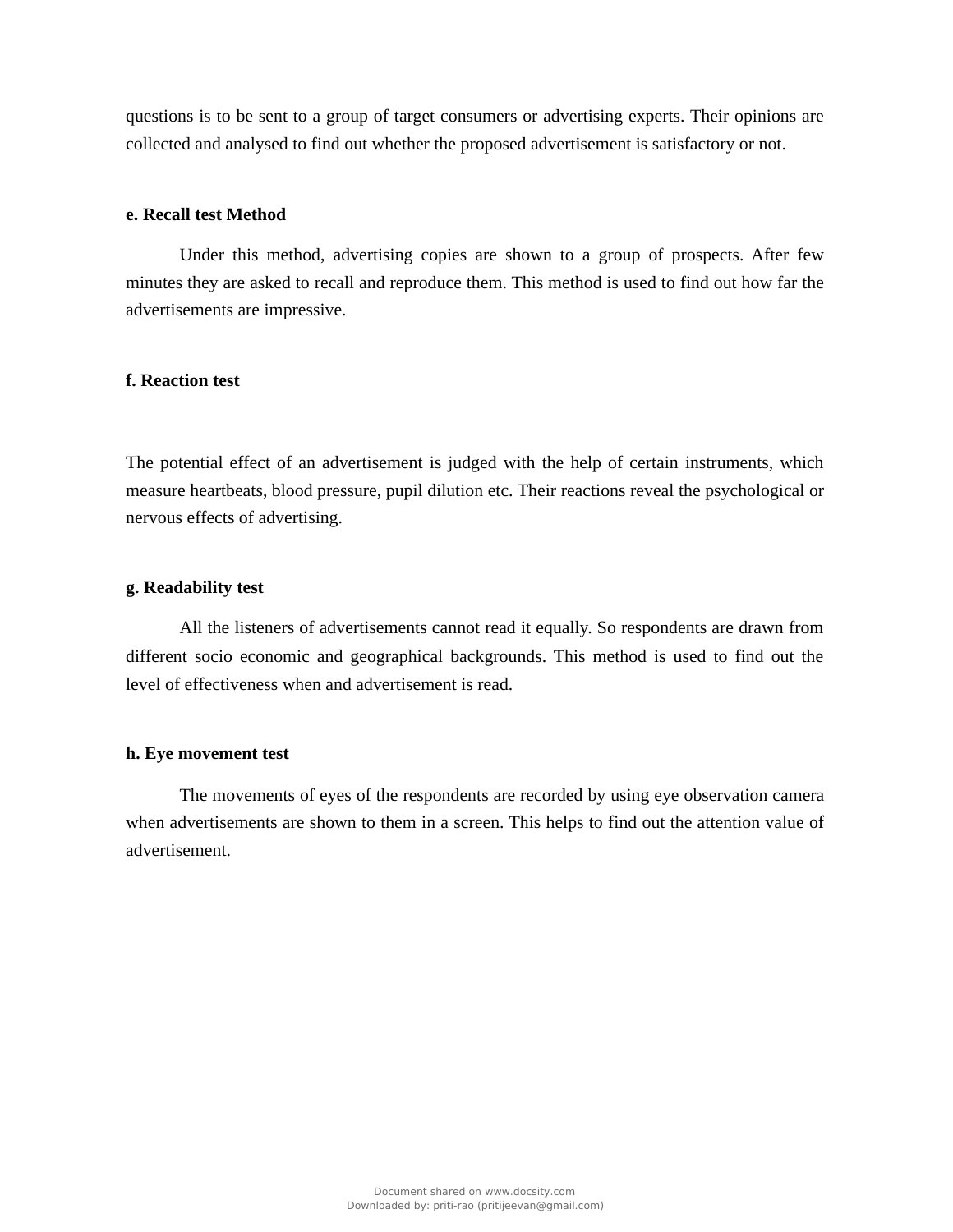questions is to be sent to a group of target consumers or advertising experts. Their opinions are collected and analysed to find out whether the proposed advertisement is satisfactory or not.

## **e. Recall test Method**

Under this method, advertising copies are shown to a group of prospects. After few minutes they are asked to recall and reproduce them. This method is used to find out how far the advertisements are impressive.

# **f. Reaction test**

The potential effect of an advertisement is judged with the help of certain instruments, which measure heartbeats, blood pressure, pupil dilution etc. Their reactions reveal the psychological or nervous effects of advertising.

### **g. Readability test**

All the listeners of advertisements cannot read it equally. So respondents are drawn from different socio economic and geographical backgrounds. This method is used to find out the level of effectiveness when and advertisement is read.

#### **h. Eye movement test**

The movements of eyes of the respondents are recorded by using eye observation camera when advertisements are shown to them in a screen. This helps to find out the attention value of advertisement.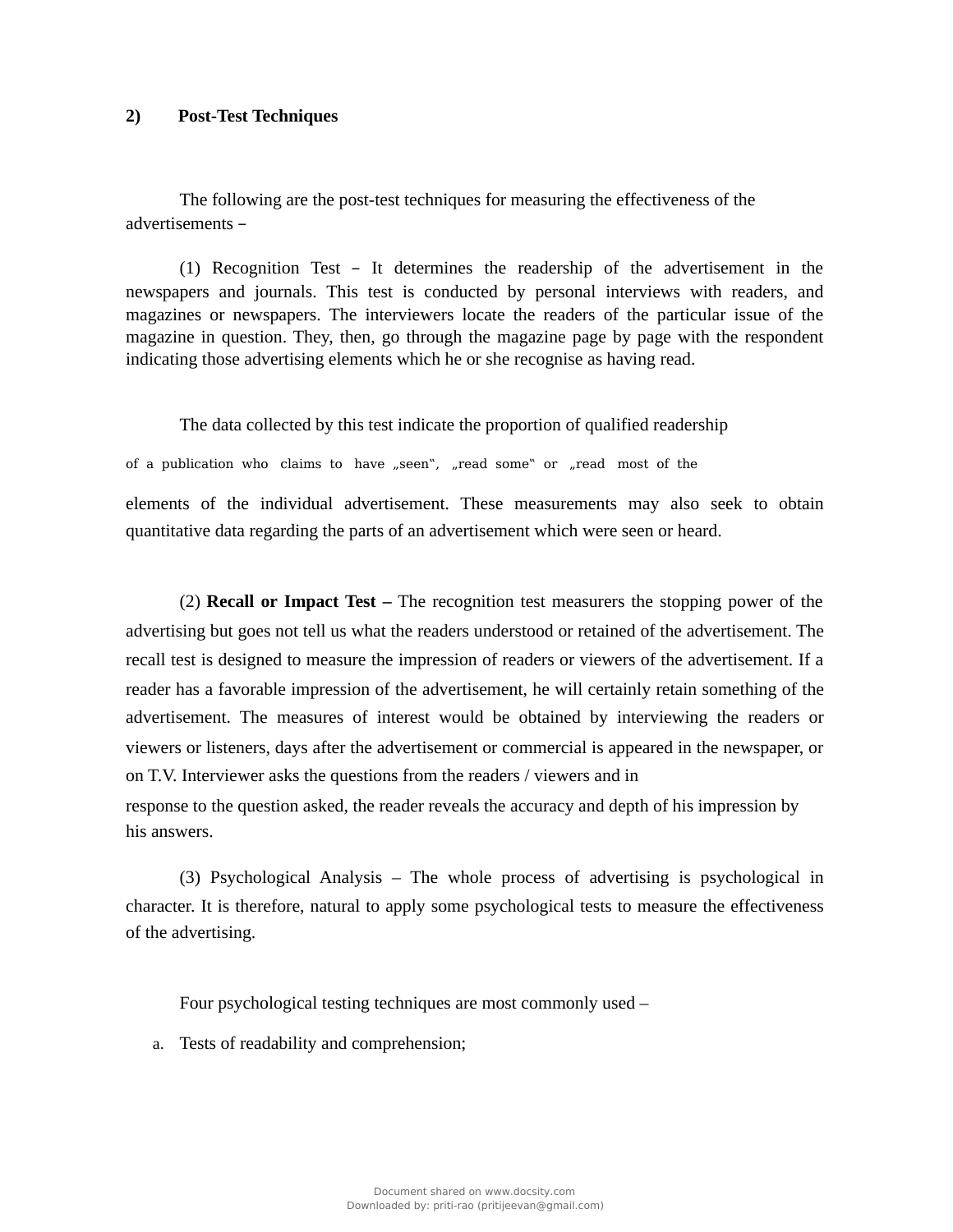### **2) Post-Test Techniques**

The following are the post-test techniques for measuring the effectiveness of the advertisements –

(1) Recognition Test – It determines the readership of the advertisement in the newspapers and journals. This test is conducted by personal interviews with readers, and magazines or newspapers. The interviewers locate the readers of the particular issue of the magazine in question. They, then, go through the magazine page by page with the respondent indicating those advertising elements which he or she recognise as having read.

The data collected by this test indicate the proportion of qualified readership

of a publication who claims to have  $n$  seen",  $n$  read some" or  $n$  read most of the

elements of the individual advertisement. These measurements may also seek to obtain quantitative data regarding the parts of an advertisement which were seen or heard.

(2) **Recall or Impact Test –** The recognition test measurers the stopping power of the advertising but goes not tell us what the readers understood or retained of the advertisement. The recall test is designed to measure the impression of readers or viewers of the advertisement. If a reader has a favorable impression of the advertisement, he will certainly retain something of the advertisement. The measures of interest would be obtained by interviewing the readers or viewers or listeners, days after the advertisement or commercial is appeared in the newspaper, or on T.V. Interviewer asks the questions from the readers / viewers and in response to the question asked, the reader reveals the accuracy and depth of his impression by his answers.

(3) Psychological Analysis – The whole process of advertising is psychological in character. It is therefore, natural to apply some psychological tests to measure the effectiveness of the advertising.

Four psychological testing techniques are most commonly used –

a. Tests of readability and comprehension;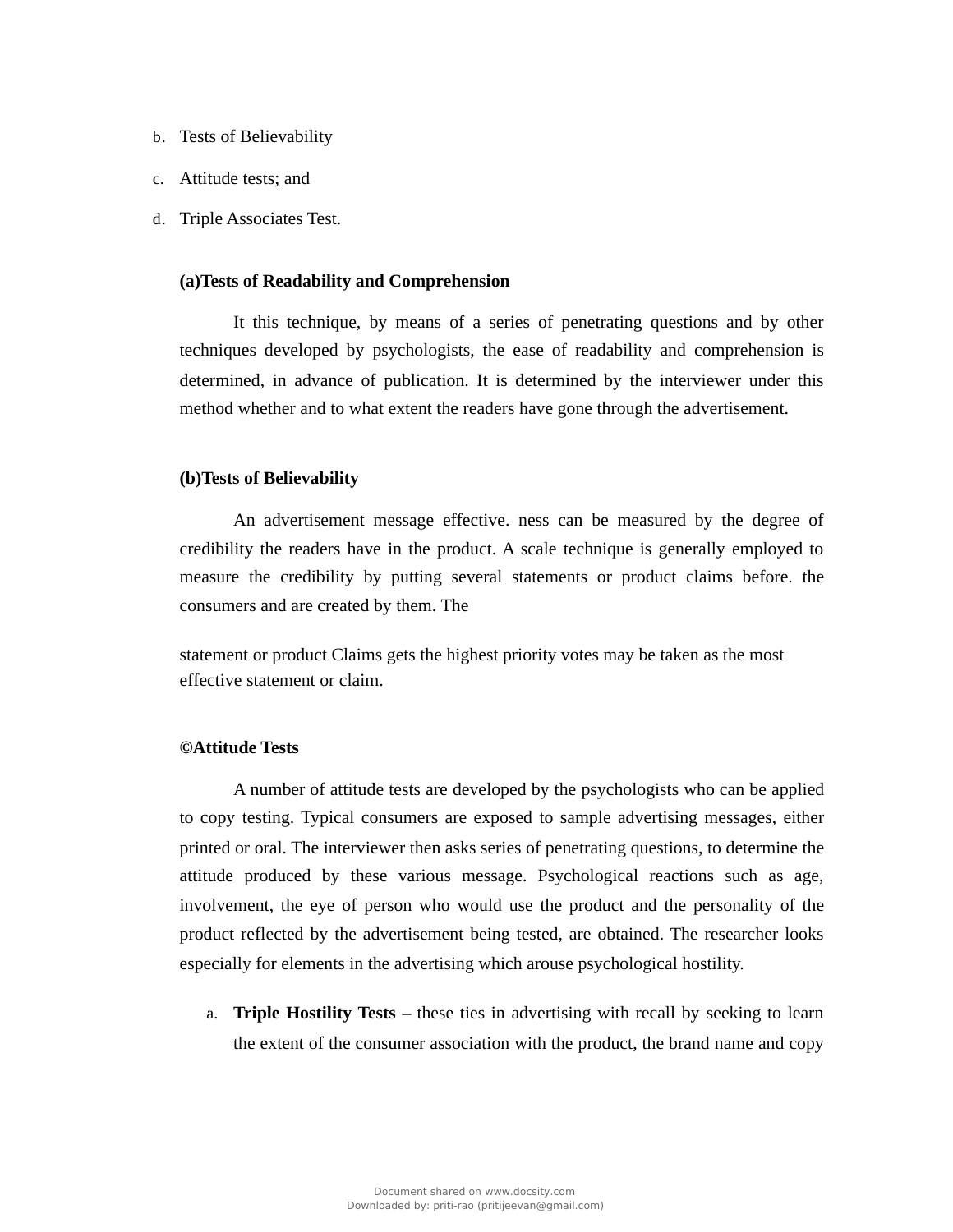- b. Tests of Believability
- c. Attitude tests; and
- d. Triple Associates Test.

### **(a)Tests of Readability and Comprehension**

It this technique, by means of a series of penetrating questions and by other techniques developed by psychologists, the ease of readability and comprehension is determined, in advance of publication. It is determined by the interviewer under this method whether and to what extent the readers have gone through the advertisement.

## **(b)Tests of Believability**

An advertisement message effective. ness can be measured by the degree of credibility the readers have in the product. A scale technique is generally employed to measure the credibility by putting several statements or product claims before. the consumers and are created by them. The

statement or product Claims gets the highest priority votes may be taken as the most effective statement or claim.

#### **©Attitude Tests**

A number of attitude tests are developed by the psychologists who can be applied to copy testing. Typical consumers are exposed to sample advertising messages, either printed or oral. The interviewer then asks series of penetrating questions, to determine the attitude produced by these various message. Psychological reactions such as age, involvement, the eye of person who would use the product and the personality of the product reflected by the advertisement being tested, are obtained. The researcher looks especially for elements in the advertising which arouse psychological hostility.

a. **Triple Hostility Tests –** these ties in advertising with recall by seeking to learn the extent of the consumer association with the product, the brand name and copy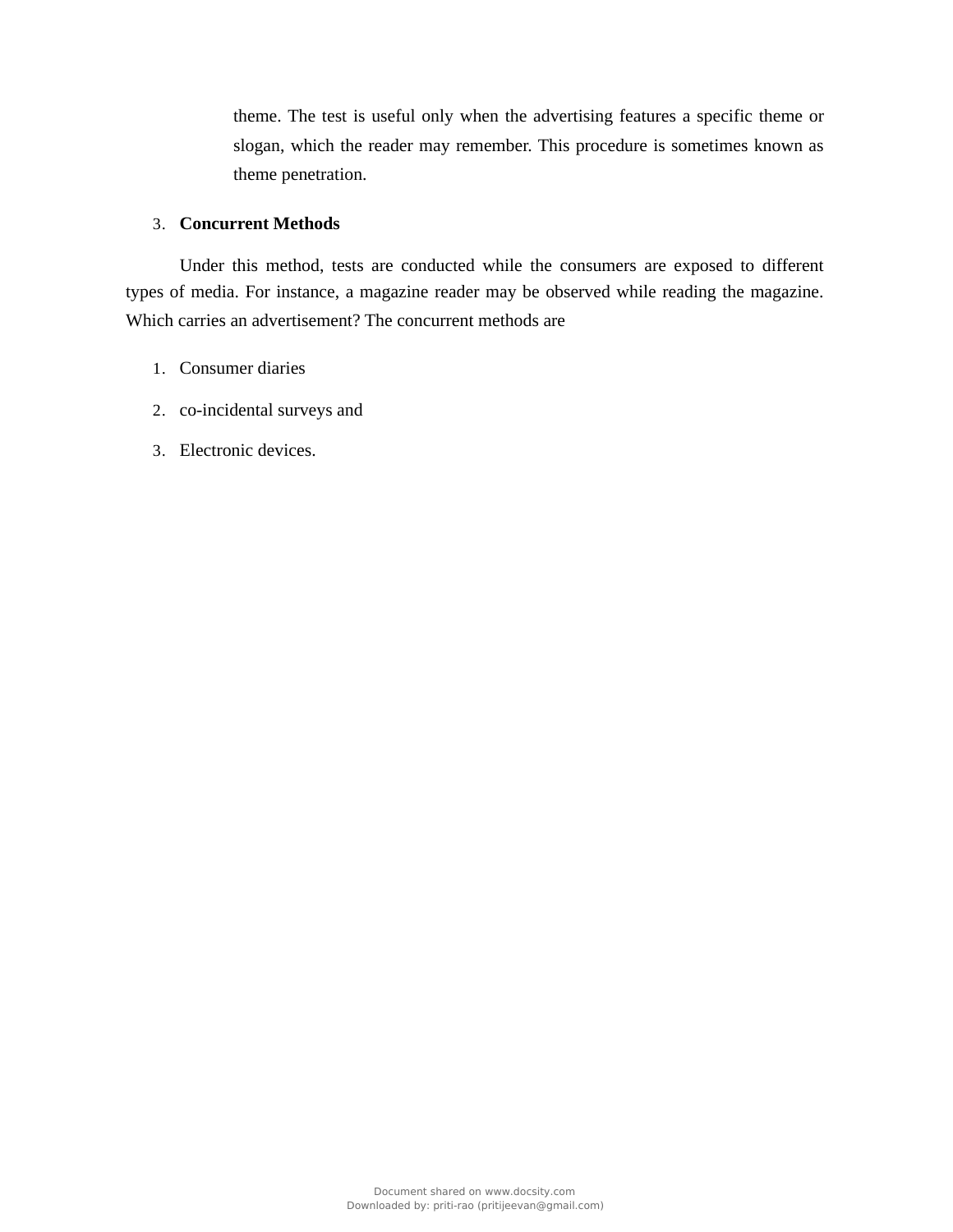theme. The test is useful only when the advertising features a specific theme or slogan, which the reader may remember. This procedure is sometimes known as theme penetration.

# 3. **Concurrent Methods**

Under this method, tests are conducted while the consumers are exposed to different types of media. For instance, a magazine reader may be observed while reading the magazine. Which carries an advertisement? The concurrent methods are

- 1. Consumer diaries
- 2. co-incidental surveys and
- 3. Electronic devices.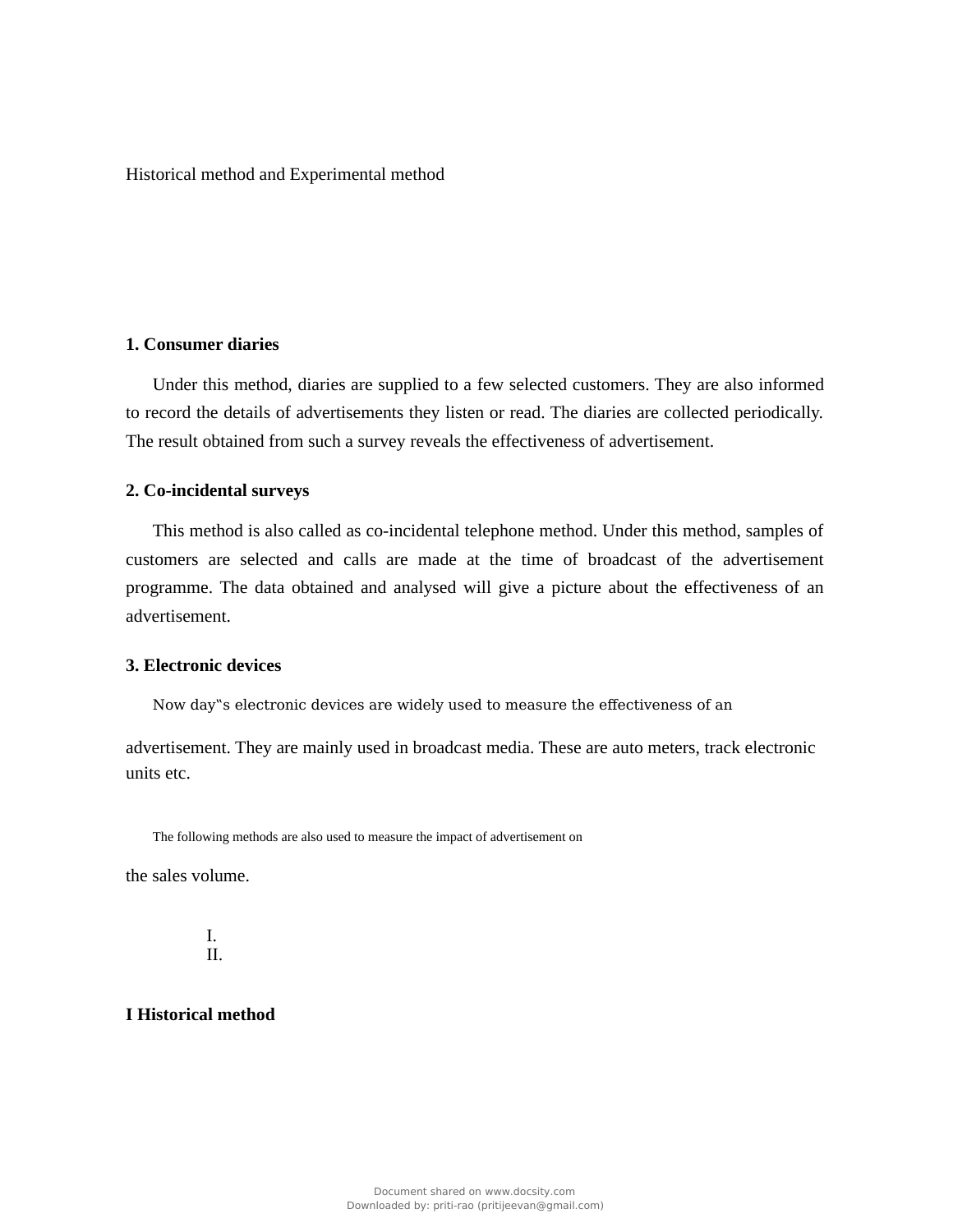### Historical method and Experimental method

# **1. Consumer diaries**

Under this method, diaries are supplied to a few selected customers. They are also informed to record the details of advertisements they listen or read. The diaries are collected periodically. The result obtained from such a survey reveals the effectiveness of advertisement.

#### **2. Co-incidental surveys**

This method is also called as co-incidental telephone method. Under this method, samples of customers are selected and calls are made at the time of broadcast of the advertisement programme. The data obtained and analysed will give a picture about the effectiveness of an advertisement.

### **3. Electronic devices**

Now day"s electronic devices are widely used to measure the effectiveness of an

advertisement. They are mainly used in broadcast media. These are auto meters, track electronic units etc.

The following methods are also used to measure the impact of advertisement on

the sales volume.

I. II.

### **I Historical method**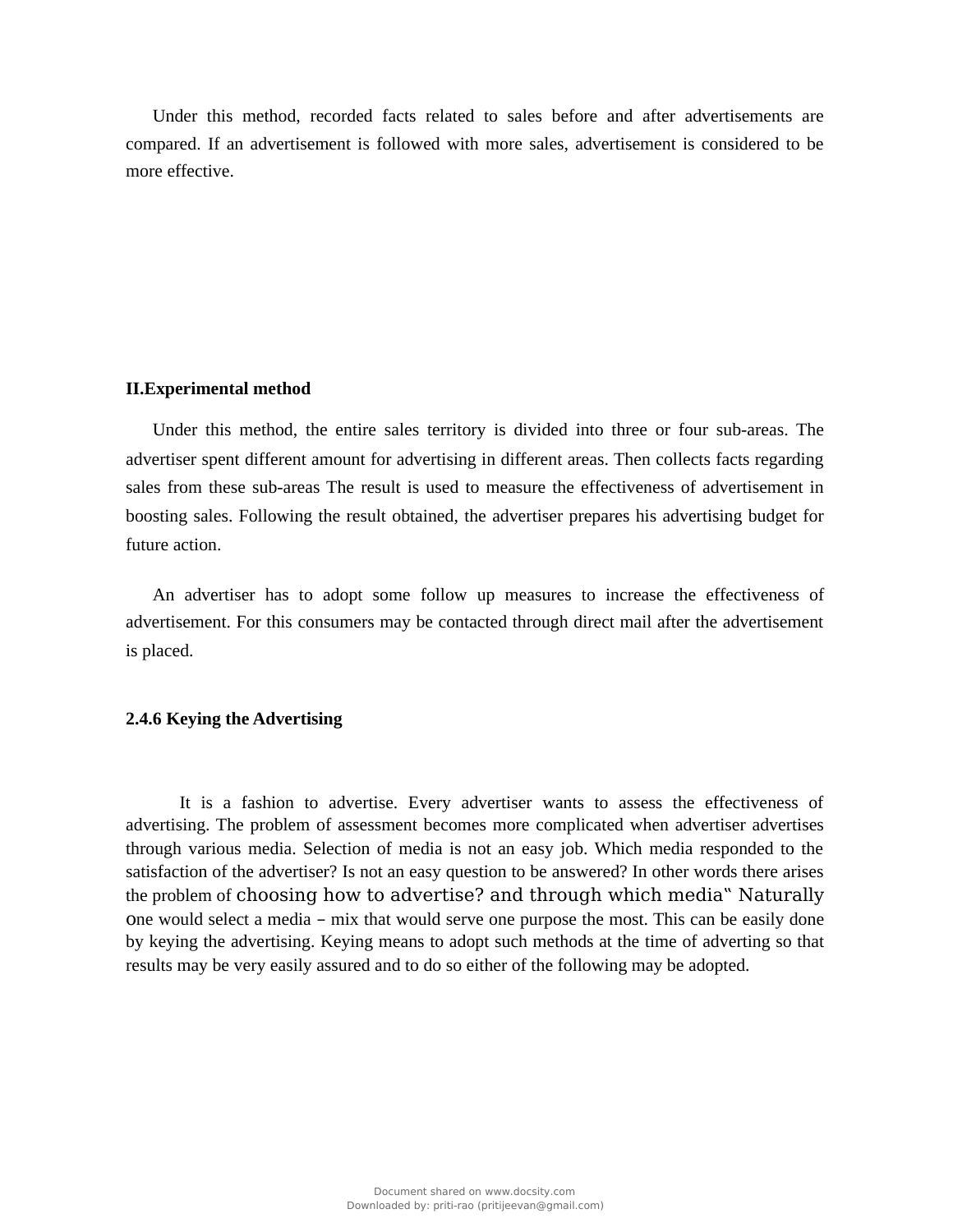Under this method, recorded facts related to sales before and after advertisements are compared. If an advertisement is followed with more sales, advertisement is considered to be more effective.

#### **II.Experimental method**

Under this method, the entire sales territory is divided into three or four sub-areas. The advertiser spent different amount for advertising in different areas. Then collects facts regarding sales from these sub-areas The result is used to measure the effectiveness of advertisement in boosting sales. Following the result obtained, the advertiser prepares his advertising budget for future action.

An advertiser has to adopt some follow up measures to increase the effectiveness of advertisement. For this consumers may be contacted through direct mail after the advertisement is placed.

# **2.4.6 Keying the Advertising**

It is a fashion to advertise. Every advertiser wants to assess the effectiveness of advertising. The problem of assessment becomes more complicated when advertiser advertises through various media. Selection of media is not an easy job. Which media responded to the satisfaction of the advertiser? Is not an easy question to be answered? In other words there arises the problem of choosing how to advertise? and through which media" Naturally one would select a media – mix that would serve one purpose the most. This can be easily done by keying the advertising. Keying means to adopt such methods at the time of adverting so that results may be very easily assured and to do so either of the following may be adopted.